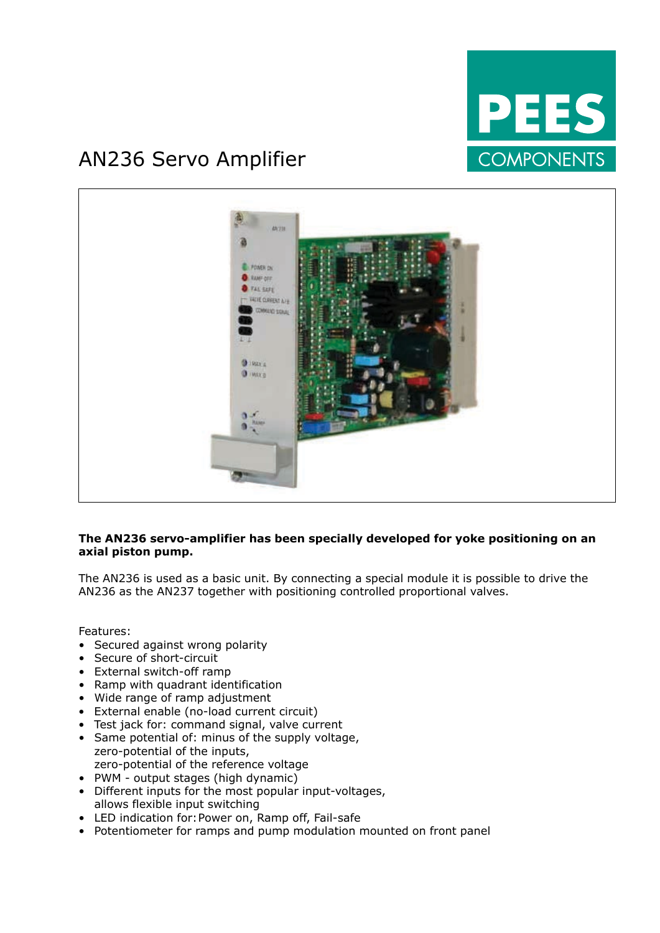

### AN236 Servo Amplifier



#### **The AN236 servo-amplifier has been specially developed for yoke positioning on an axial piston pump.**

The AN236 is used as a basic unit. By connecting a special module it is possible to drive the AN236 as the AN237 together with positioning controlled proportional valves.

Features:

- Secured against wrong polarity
- Secure of short-circuit
- • External switch-off ramp
- • Ramp with quadrant identification
- • Wide range of ramp adjustment
- • External enable (no-load current circuit)
- Test jack for: command signal, valve current
- Same potential of: minus of the supply voltage, zero-potential of the inputs, zero-potential of the reference voltage
- PWM output stages (high dynamic)
- • Different inputs for the most popular input-voltages, allows flexible input switching
- LED indication for: Power on, Ramp off, Fail-safe
- Potentiometer for ramps and pump modulation mounted on front panel